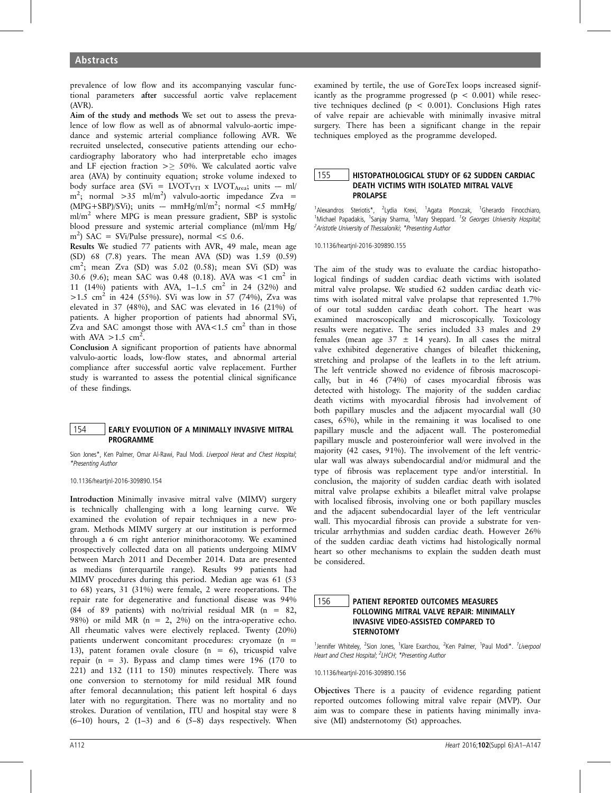prevalence of low flow and its accompanying vascular functional parameters after successful aortic valve replacement (AVR).

Aim of the study and methods We set out to assess the prevalence of low flow as well as of abnormal valvulo-aortic impedance and systemic arterial compliance following AVR. We recruited unselected, consecutive patients attending our echocardiography laboratory who had interpretable echo images and LF ejection fraction  $\geq$  50%. We calculated aortic valve area (AVA) by continuity equation; stroke volume indexed to body surface area (SVi = LVOT<sub>VTI</sub> x LVOT<sub>Area</sub>; units -- ml/  $m^2$ ; normal >35 ml/m<sup>2</sup>) valvulo-aortic impedance Zva =  $(MPG + SBP)/SVi$ ; units -- mmHg/ml/m<sup>2</sup>; normal <5 mmHg/ ml/m<sup>2</sup> where MPG is mean pressure gradient, SBP is systolic blood pressure and systemic arterial compliance (ml/mm Hg/ m<sup>2</sup>) SAC = SVi/Pulse pressure), normal < $\leq$  0.6.

Results We studied 77 patients with AVR, 49 male, mean age (SD) 68 (7.8) years. The mean AVA (SD) was 1.59 (0.59)  $\text{cm}^2$ ; mean Zva (SD) was 5.02 (0.58); mean SVi (SD) was 30.6 (9.6); mean SAC was 0.48 (0.18). AVA was  $\lt 1$  cm<sup>2</sup> in 11 (14%) patients with AVA, 1-1.5 cm<sup>2</sup> in 24 (32%) and  $>1.5$  cm<sup>2</sup> in 424 (55%). SVi was low in 57 (74%), Zva was elevated in 37 (48%), and SAC was elevated in 16 (21%) of patients. A higher proportion of patients had abnormal SVi, Zva and SAC amongst those with  $AVA < 1.5$  cm<sup>2</sup> than in those with AVA  $>1.5$  cm<sup>2</sup>.

Conclusion A significant proportion of patients have abnormal valvulo-aortic loads, low-flow states, and abnormal arterial compliance after successful aortic valve replacement. Further study is warranted to assess the potential clinical significance of these findings.

#### 154 EARLY EVOLUTION OF A MINIMALLY INVASIVE MITRAL PROGRAMME

Sion Jones\*, Ken Palmer, Omar Al-Rawi, Paul Modi. Liverpool Herat and Chest Hospital; \*Presenting Author

10.1136/heartjnl-2016-309890.154

Introduction Minimally invasive mitral valve (MIMV) surgery is technically challenging with a long learning curve. We examined the evolution of repair techniques in a new program. Methods MIMV surgery at our institution is performed through a 6 cm right anterior minithoracotomy. We examined prospectively collected data on all patients undergoing MIMV between March 2011 and December 2014. Data are presented as medians (interquartile range). Results 99 patients had MIMV procedures during this period. Median age was 61 (53 to 68) years, 31 (31%) were female, 2 were reoperations. The repair rate for degenerative and functional disease was 94% (84 of 89 patients) with no/trivial residual MR (n = 82, 98%) or mild MR ( $n = 2$ , 2%) on the intra-operative echo. All rheumatic valves were electively replaced. Twenty (20%) patients underwent concomitant procedures: cryomaze (n = 13), patent foramen ovale closure (n = 6), tricuspid valve repair (n = 3). Bypass and clamp times were 196 (170 to 221) and 132 (111 to 150) minutes respectively. There was one conversion to sternotomy for mild residual MR found after femoral decannulation; this patient left hospital 6 days later with no regurgitation. There was no mortality and no strokes. Duration of ventilation, ITU and hospital stay were 8  $(6-10)$  hours, 2  $(1-3)$  and 6  $(5-8)$  days respectively. When

examined by tertile, the use of GoreTex loops increased significantly as the programme progressed ( $p < 0.001$ ) while resective techniques declined ( $p < 0.001$ ). Conclusions High rates of valve repair are achievable with minimally invasive mitral surgery. There has been a significant change in the repair techniques employed as the programme developed.

#### 155 **HISTOPATHOLOGICAL STUDY OF 62 SUDDEN CARDIAC** DEATH VICTIMS WITH ISOLATED MITRAL VALVE PROLAPSE

<sup>1</sup>Alexandros Steriotis\*, <sup>2</sup>Lydia Krexi, <sup>1</sup>Agata Plonczak, <sup>1</sup>Gherardo Finocchiaro, <sup>1</sup>Michael Papadakis, <sup>1</sup>Sanjay Sharma, <sup>1</sup>Mary Sheppard. <sup>1</sup>St Georges University Hospital; <sup>2</sup> Aristotle University of Thessaloniki; \* Presenting Author

10.1136/heartjnl-2016-309890.155

The aim of the study was to evaluate the cardiac histopathological findings of sudden cardiac death victims with isolated mitral valve prolapse. We studied 62 sudden cardiac death victims with isolated mitral valve prolapse that represented 1.7% of our total sudden cardiac death cohort. The heart was examined macroscopically and microscopically. Toxicology results were negative. The series included 33 males and 29 females (mean age  $37 \pm 14$  years). In all cases the mitral valve exhibited degenerative changes of bileaflet thickening, stretching and prolapse of the leaflets in to the left atrium. The left ventricle showed no evidence of fibrosis macroscopically, but in 46 (74%) of cases myocardial fibrosis was detected with histology. The majority of the sudden cardiac death victims with myocardial fibrosis had involvement of both papillary muscles and the adjacent myocardial wall (30 cases, 65%), while in the remaining it was localised to one papillary muscle and the adjacent wall. The posteromedial papillary muscle and posteroinferior wall were involved in the majority (42 cases, 91%). The involvement of the left ventricular wall was always subendocardial and/or midmural and the type of fibrosis was replacement type and/or interstitial. In conclusion, the majority of sudden cardiac death with isolated mitral valve prolapse exhibits a bileaflet mitral valve prolapse with localised fibrosis, involving one or both papillary muscles and the adjacent subendocardial layer of the left ventricular wall. This myocardial fibrosis can provide a substrate for ventricular arrhythmias and sudden cardiac death. However 26% of the sudden cardiac death victims had histologically normal heart so other mechanisms to explain the sudden death must be considered.

## 156 PATIENT REPORTED OUTCOMES MEASURES FOLLOWING MITRAL VALVE REPAIR: MINIMALLY INVASIVE VIDEO-ASSISTED COMPARED TO STERNOTOMY

<sup>1</sup>Jennifer Whiteley, <sup>2</sup>Sion Jones, <sup>1</sup>Klare Exarchou, <sup>2</sup>Ken Palmer, <sup>1</sup>Paul Modi\*. <sup>1</sup>Liverpool Heart and Chest Hospital; <sup>2</sup>LHCH; \*Presenting Author

10.1136/heartjnl-2016-309890.156

Objectives There is a paucity of evidence regarding patient reported outcomes following mitral valve repair (MVP). Our aim was to compare these in patients having minimally invasive (MI) andsternotomy (St) approaches.